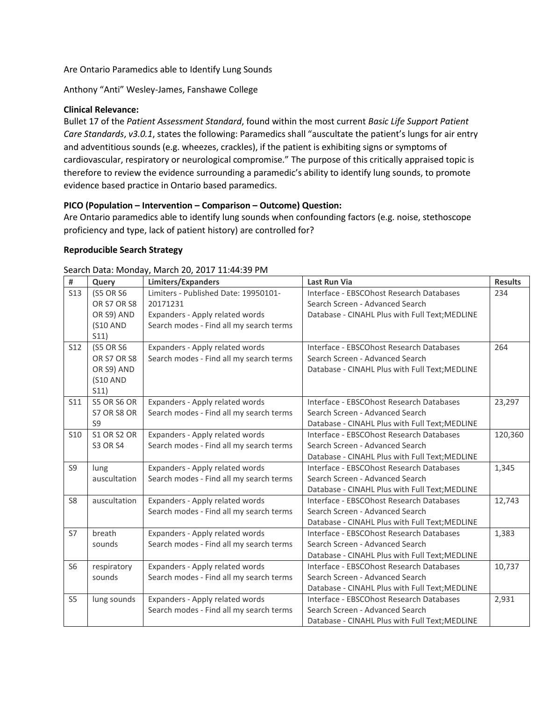Are Ontario Paramedics able to Identify Lung Sounds

Anthony "Anti" Wesley-James, Fanshawe College

# **Clinical Relevance:**

Bullet 17 of the *Patient Assessment Standard*, found within the most current *Basic Life Support Patient Care Standards*, *v3.0.1*, states the following: Paramedics shall "auscultate the patient's lungs for air entry and adventitious sounds (e.g. wheezes, crackles), if the patient is exhibiting signs or symptoms of cardiovascular, respiratory or neurological compromise." The purpose of this critically appraised topic is therefore to review the evidence surrounding a paramedic's ability to identify lung sounds, to promote evidence based practice in Ontario based paramedics.

# **PICO (Population – Intervention – Comparison – Outcome) Question:**

Are Ontario paramedics able to identify lung sounds when confounding factors (e.g. noise, stethoscope proficiency and type, lack of patient history) are controlled for?

### **Reproducible Search Strategy**

#### Search Data: Monday, March 20, 2017 11:44:39 PM

| #               | Query              | Limiters/Expanders                      | Last Run Via                                   | <b>Results</b> |
|-----------------|--------------------|-----------------------------------------|------------------------------------------------|----------------|
| <b>S13</b>      | (S5 OR S6          | Limiters - Published Date: 19950101-    | Interface - EBSCOhost Research Databases       | 234            |
|                 | OR S7 OR S8        | 20171231                                | Search Screen - Advanced Search                |                |
|                 | OR S9) AND         | Expanders - Apply related words         | Database - CINAHL Plus with Full Text; MEDLINE |                |
|                 | (S10 AND           | Search modes - Find all my search terms |                                                |                |
|                 | 511)               |                                         |                                                |                |
| S <sub>12</sub> | (S5 OR S6          | Expanders - Apply related words         | Interface - EBSCOhost Research Databases       | 264            |
|                 | OR S7 OR S8        | Search modes - Find all my search terms | Search Screen - Advanced Search                |                |
|                 | OR S9) AND         |                                         | Database - CINAHL Plus with Full Text; MEDLINE |                |
|                 | (S10 AND           |                                         |                                                |                |
|                 | 511)               |                                         |                                                |                |
| <b>S11</b>      | <b>S5 OR S6 OR</b> | Expanders - Apply related words         | Interface - EBSCOhost Research Databases       | 23,297         |
|                 | S7 OR S8 OR        | Search modes - Find all my search terms | Search Screen - Advanced Search                |                |
|                 | S <sub>9</sub>     |                                         | Database - CINAHL Plus with Full Text; MEDLINE |                |
| <b>S10</b>      | S1 OR S2 OR        | Expanders - Apply related words         | Interface - EBSCOhost Research Databases       | 120,360        |
|                 | <b>S3 OR S4</b>    | Search modes - Find all my search terms | Search Screen - Advanced Search                |                |
|                 |                    |                                         | Database - CINAHL Plus with Full Text; MEDLINE |                |
| S9              | lung               | Expanders - Apply related words         | Interface - EBSCOhost Research Databases       | 1,345          |
|                 | auscultation       | Search modes - Find all my search terms | Search Screen - Advanced Search                |                |
|                 |                    |                                         | Database - CINAHL Plus with Full Text; MEDLINE |                |
| S8              | auscultation       | Expanders - Apply related words         | Interface - EBSCOhost Research Databases       | 12,743         |
|                 |                    | Search modes - Find all my search terms | Search Screen - Advanced Search                |                |
|                 |                    |                                         | Database - CINAHL Plus with Full Text; MEDLINE |                |
| <b>S7</b>       | breath             | Expanders - Apply related words         | Interface - EBSCOhost Research Databases       | 1,383          |
|                 | sounds             | Search modes - Find all my search terms | Search Screen - Advanced Search                |                |
|                 |                    |                                         | Database - CINAHL Plus with Full Text; MEDLINE |                |
| S <sub>6</sub>  | respiratory        | Expanders - Apply related words         | Interface - EBSCOhost Research Databases       | 10,737         |
|                 | sounds             | Search modes - Find all my search terms | Search Screen - Advanced Search                |                |
|                 |                    |                                         | Database - CINAHL Plus with Full Text; MEDLINE |                |
| S <sub>5</sub>  | lung sounds        | Expanders - Apply related words         | Interface - EBSCOhost Research Databases       | 2,931          |
|                 |                    | Search modes - Find all my search terms | Search Screen - Advanced Search                |                |
|                 |                    |                                         | Database - CINAHL Plus with Full Text; MEDLINE |                |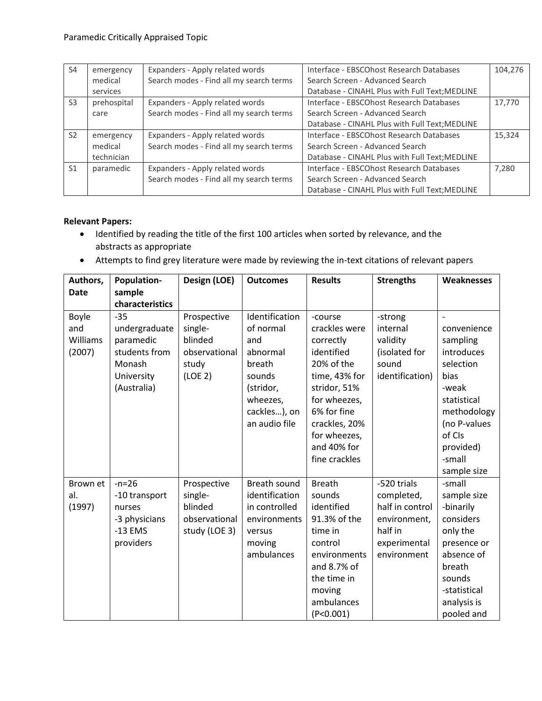| S4             | emergency   | Expanders - Apply related words         | Interface - EBSCOhost Research Databases       | 104,276 |
|----------------|-------------|-----------------------------------------|------------------------------------------------|---------|
|                | medical     | Search modes - Find all my search terms | Search Screen - Advanced Search                |         |
|                | services    |                                         | Database - CINAHL Plus with Full Text; MEDLINE |         |
| S <sub>3</sub> | prehospital | Expanders - Apply related words         | Interface - EBSCOhost Research Databases       | 17,770  |
|                | care        | Search modes - Find all my search terms | Search Screen - Advanced Search                |         |
|                |             |                                         | Database - CINAHL Plus with Full Text; MEDLINE |         |
| S <sub>2</sub> | emergency   | Expanders - Apply related words         | Interface - EBSCOhost Research Databases       | 15,324  |
|                | medical     | Search modes - Find all my search terms | Search Screen - Advanced Search                |         |
|                | technician  |                                         | Database - CINAHL Plus with Full Text; MEDLINE |         |
| S <sub>1</sub> | paramedic   | Expanders - Apply related words         | Interface - EBSCOhost Research Databases       | 7,280   |
|                |             | Search modes - Find all my search terms | Search Screen - Advanced Search                |         |
|                |             |                                         | Database - CINAHL Plus with Full Text; MEDLINE |         |

# **Relevant Papers:**

- Identified by reading the title of the first 100 articles when sorted by relevance, and the abstracts as appropriate
- Attempts to find grey literature were made by reviewing the in-text citations of relevant papers

| Authors,     | Population-     | Design (LOE)        | <b>Outcomes</b>     | <b>Results</b> | <b>Strengths</b> | Weaknesses   |
|--------------|-----------------|---------------------|---------------------|----------------|------------------|--------------|
| <b>Date</b>  | sample          |                     |                     |                |                  |              |
|              | characteristics |                     |                     |                |                  |              |
| <b>Boyle</b> | $-35$           | Prospective         | Identification      | -course        | -strong          |              |
| and          | undergraduate   | single-             | of normal           | crackles were  | internal         | convenience  |
| Williams     | paramedic       | blinded             | and                 | correctly      | validity         | sampling     |
| (2007)       | students from   | observational       | abnormal            | identified     | (isolated for    | introduces   |
|              | Monash          | study               | breath              | 20% of the     | sound            | selection    |
|              | University      | (LOE <sub>2</sub> ) | sounds              | time, 43% for  | identification)  | bias         |
|              | (Australia)     |                     | (stridor,           | stridor, 51%   |                  | -weak        |
|              |                 |                     | wheezes,            | for wheezes,   |                  | statistical  |
|              |                 |                     | cackles), on        | 6% for fine    |                  | methodology  |
|              |                 |                     | an audio file       | crackles, 20%  |                  | (no P-values |
|              |                 |                     |                     | for wheezes,   |                  | of CIs       |
|              |                 |                     |                     | and 40% for    |                  | provided)    |
|              |                 |                     |                     | fine crackles  |                  | -small       |
|              |                 |                     |                     |                |                  | sample size  |
| Brown et     | $-n=26$         | Prospective         | <b>Breath sound</b> | <b>Breath</b>  | -520 trials      | -small       |
| al.          | -10 transport   | single-             | identification      | sounds         | completed,       | sample size  |
| (1997)       | nurses          | blinded             | in controlled       | identified     | half in control  | -binarily    |
|              | -3 physicians   | observational       | environments        | 91.3% of the   | environment,     | considers    |
|              | $-13$ EMS       | study (LOE 3)       | versus              | time in        | half in          | only the     |
|              | providers       |                     | moving              | control        | experimental     | presence or  |
|              |                 |                     | ambulances          | environments   | environment      | absence of   |
|              |                 |                     |                     | and 8.7% of    |                  | breath       |
|              |                 |                     |                     | the time in    |                  | sounds       |
|              |                 |                     |                     | moving         |                  | -statistical |
|              |                 |                     |                     | ambulances     |                  | analysis is  |
|              |                 |                     |                     | (P<0.001)      |                  | pooled and   |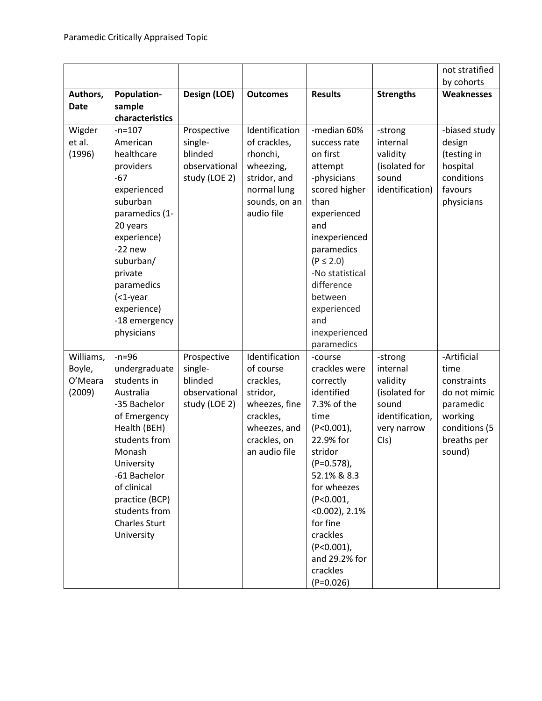|                  |                             |                    |                              |                                  |                      | not stratified        |
|------------------|-----------------------------|--------------------|------------------------------|----------------------------------|----------------------|-----------------------|
|                  |                             |                    |                              |                                  |                      | by cohorts            |
| Authors,         | Population-                 | Design (LOE)       | <b>Outcomes</b>              | <b>Results</b>                   | <b>Strengths</b>     | <b>Weaknesses</b>     |
| <b>Date</b>      | sample                      |                    |                              |                                  |                      |                       |
| Wigder           | characteristics<br>$-n=107$ | Prospective        | Identification               | -median 60%                      | -strong              | -biased study         |
| et al.<br>(1996) | American<br>healthcare      | single-<br>blinded | of crackles,<br>rhonchi,     | success rate<br>on first         | internal<br>validity | design<br>(testing in |
|                  | providers                   | observational      | wheezing,                    | attempt                          | (isolated for        | hospital              |
|                  | $-67$                       | study (LOE 2)      | stridor, and                 | -physicians                      | sound                | conditions            |
|                  | experienced<br>suburban     |                    | normal lung<br>sounds, on an | scored higher<br>than            | identification)      | favours<br>physicians |
|                  | paramedics (1-              |                    | audio file                   | experienced                      |                      |                       |
|                  | 20 years<br>experience)     |                    |                              | and<br>inexperienced             |                      |                       |
|                  | $-22$ new                   |                    |                              | paramedics                       |                      |                       |
|                  | suburban/<br>private        |                    |                              | $(P \le 2.0)$<br>-No statistical |                      |                       |
|                  | paramedics                  |                    |                              | difference                       |                      |                       |
|                  | $1-year$                    |                    |                              | between                          |                      |                       |
|                  | experience)                 |                    |                              | experienced                      |                      |                       |
|                  | -18 emergency               |                    |                              | and                              |                      |                       |
|                  | physicians                  |                    |                              | inexperienced<br>paramedics      |                      |                       |
| Williams,        | $-n=96$                     | Prospective        | Identification               | -course                          | -strong              | -Artificial           |
| Boyle,           | undergraduate               | single-            | of course                    | crackles were                    | internal             | time                  |
| O'Meara          | students in                 | blinded            | crackles,                    | correctly                        | validity             | constraints           |
| (2009)           | Australia                   | observational      | stridor,                     | identified                       | (isolated for        | do not mimic          |
|                  | -35 Bachelor                | study (LOE 2)      | wheezes, fine                | 7.3% of the                      | sound                | paramedic             |
|                  | of Emergency                |                    | crackles,                    | time                             | identification,      | working               |
|                  | Health (BEH)                |                    | wheezes, and                 | $(P<0.001)$ ,                    | very narrow          | conditions (5         |
|                  | students from               |                    | crackles, on                 | 22.9% for                        | CIs)                 | breaths per           |
|                  | Monash                      |                    | an audio file                | stridor                          |                      | sound)                |
|                  | University<br>-61 Bachelor  |                    |                              | $(P=0.578)$ ,<br>52.1% & 8.3     |                      |                       |
|                  | of clinical                 |                    |                              | for wheezes                      |                      |                       |
|                  | practice (BCP)              |                    |                              | (P<0.001)                        |                      |                       |
|                  | students from               |                    |                              | $(0.002)$ , 2.1%                 |                      |                       |
|                  | <b>Charles Sturt</b>        |                    |                              | for fine                         |                      |                       |
|                  | University                  |                    |                              | crackles                         |                      |                       |
|                  |                             |                    |                              | $(P<0.001)$ ,                    |                      |                       |
|                  |                             |                    |                              | and 29.2% for                    |                      |                       |
|                  |                             |                    |                              | crackles                         |                      |                       |
|                  |                             |                    |                              | $(P=0.026)$                      |                      |                       |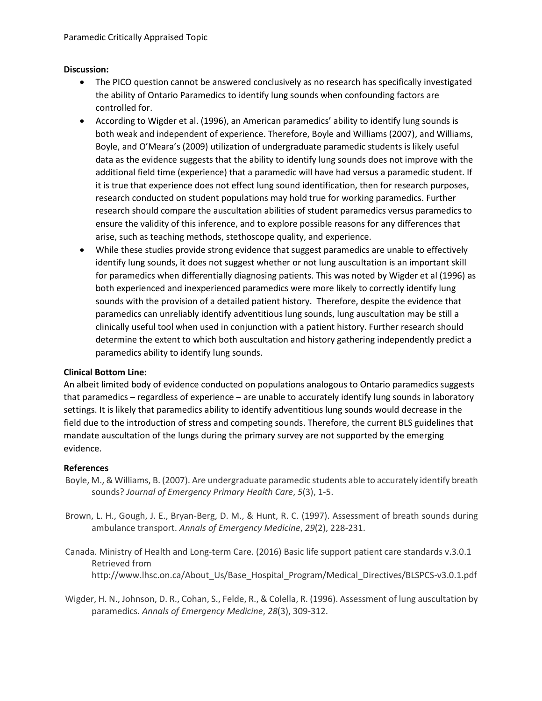# **Discussion:**

- The PICO question cannot be answered conclusively as no research has specifically investigated the ability of Ontario Paramedics to identify lung sounds when confounding factors are controlled for.
- According to Wigder et al. (1996), an American paramedics' ability to identify lung sounds is both weak and independent of experience. Therefore, Boyle and Williams (2007), and Williams, Boyle, and O'Meara's (2009) utilization of undergraduate paramedic students is likely useful data as the evidence suggests that the ability to identify lung sounds does not improve with the additional field time (experience) that a paramedic will have had versus a paramedic student. If it is true that experience does not effect lung sound identification, then for research purposes, research conducted on student populations may hold true for working paramedics. Further research should compare the auscultation abilities of student paramedics versus paramedics to ensure the validity of this inference, and to explore possible reasons for any differences that arise, such as teaching methods, stethoscope quality, and experience.
- While these studies provide strong evidence that suggest paramedics are unable to effectively identify lung sounds, it does not suggest whether or not lung auscultation is an important skill for paramedics when differentially diagnosing patients. This was noted by Wigder et al (1996) as both experienced and inexperienced paramedics were more likely to correctly identify lung sounds with the provision of a detailed patient history. Therefore, despite the evidence that paramedics can unreliably identify adventitious lung sounds, lung auscultation may be still a clinically useful tool when used in conjunction with a patient history. Further research should determine the extent to which both auscultation and history gathering independently predict a paramedics ability to identify lung sounds.

### **Clinical Bottom Line:**

An albeit limited body of evidence conducted on populations analogous to Ontario paramedics suggests that paramedics – regardless of experience – are unable to accurately identify lung sounds in laboratory settings. It is likely that paramedics ability to identify adventitious lung sounds would decrease in the field due to the introduction of stress and competing sounds. Therefore, the current BLS guidelines that mandate auscultation of the lungs during the primary survey are not supported by the emerging evidence.

### **References**

- Boyle, M., & Williams, B. (2007). Are undergraduate paramedic students able to accurately identify breath sounds? *Journal of Emergency Primary Health Care*, *5*(3), 1-5.
- Brown, L. H., Gough, J. E., Bryan-Berg, D. M., & Hunt, R. C. (1997). Assessment of breath sounds during ambulance transport. *Annals of Emergency Medicine*, *29*(2), 228-231.
- Canada. Ministry of Health and Long-term Care. (2016) Basic life support patient care standards v.3.0.1 Retrieved from http://www.lhsc.on.ca/About\_Us/Base\_Hospital\_Program/Medical\_Directives/BLSPCS-v3.0.1.pdf
- Wigder, H. N., Johnson, D. R., Cohan, S., Felde, R., & Colella, R. (1996). Assessment of lung auscultation by paramedics. *Annals of Emergency Medicine*, *28*(3), 309-312.